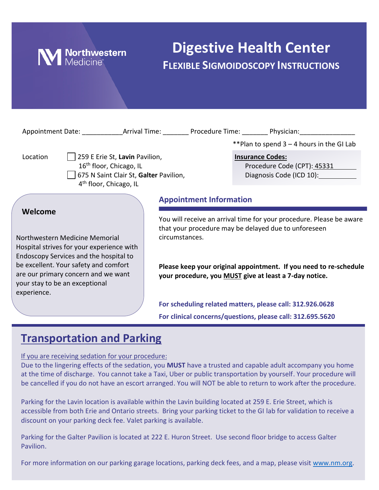

# **Digestive Health Center FLEXIBLE SIGMOIDOSCOPY INSTRUCTIONS**

| Appointment Date: Arrival Time: Procedure Time: Physician:                                                                                                                                                                                                        |                                        |                                |                                                                                                                                                                                                                                                             |
|-------------------------------------------------------------------------------------------------------------------------------------------------------------------------------------------------------------------------------------------------------------------|----------------------------------------|--------------------------------|-------------------------------------------------------------------------------------------------------------------------------------------------------------------------------------------------------------------------------------------------------------|
|                                                                                                                                                                                                                                                                   |                                        |                                | **Plan to spend 3 - 4 hours in the GI Lab                                                                                                                                                                                                                   |
| 259 E Erie St, Lavin Pavilion,<br>Location<br>16 <sup>th</sup> floor, Chicago, IL<br>4 <sup>th</sup> floor, Chicago, IL                                                                                                                                           | 675 N Saint Clair St, Galter Pavilion, |                                | <b>Insurance Codes:</b><br>Procedure Code (CPT): 45331<br>Diagnosis Code (ICD 10):                                                                                                                                                                          |
|                                                                                                                                                                                                                                                                   |                                        | <b>Appointment Information</b> |                                                                                                                                                                                                                                                             |
| Welcome<br>Northwestern Medicine Memorial<br>Hospital strives for your experience with<br>Endoscopy Services and the hospital to<br>be excellent. Your safety and comfort<br>are our primary concern and we want<br>your stay to be an exceptional<br>experience. | circumstances.                         |                                | You will receive an arrival time for your procedure. Please be aware<br>that your procedure may be delayed due to unforeseen<br>Please keep your original appointment. If you need to re-schedule<br>your procedure, you MUST give at least a 7-day notice. |
|                                                                                                                                                                                                                                                                   |                                        |                                | For scheduling related matters, please call: 312.926.0628<br>For clinical concerns/questions, please call: 312.695.5620                                                                                                                                     |

## **Transportation and Parking**

If you are receiving sedation for your procedure:

Due to the lingering effects of the sedation, you **MUST** have a trusted and capable adult accompany you home at the time of discharge. You cannot take a Taxi, Uber or public transportation by yourself. Your procedure will be cancelled if you do not have an escort arranged. You will NOT be able to return to work after the procedure.

Parking for the Lavin location is available within the Lavin building located at 259 E. Erie Street, which is accessible from both Erie and Ontario streets. Bring your parking ticket to the GI lab for validation to receive a discount on your parking deck fee. Valet parking is available.

Parking for the Galter Pavilion is located at 222 E. Huron Street. Use second floor bridge to access Galter Pavilion.

For more information on our parking garage locations, parking deck fees, and a map, please visit [www.nm.org.](http://www.nm.org/)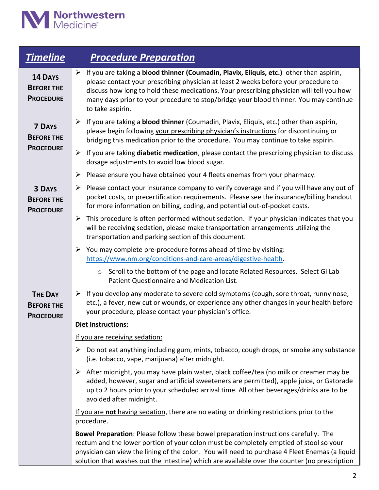

| <b>Timeline</b>                                         | <b>Procedure Preparation</b>                                                                                                                                                                                                                                                                                                                                                                                                                                                                                                                                                                                                                                                                                                                                                                                                                                                                                                                                                                                                                                                                                                                                                                                                                                                                                                                                         |
|---------------------------------------------------------|----------------------------------------------------------------------------------------------------------------------------------------------------------------------------------------------------------------------------------------------------------------------------------------------------------------------------------------------------------------------------------------------------------------------------------------------------------------------------------------------------------------------------------------------------------------------------------------------------------------------------------------------------------------------------------------------------------------------------------------------------------------------------------------------------------------------------------------------------------------------------------------------------------------------------------------------------------------------------------------------------------------------------------------------------------------------------------------------------------------------------------------------------------------------------------------------------------------------------------------------------------------------------------------------------------------------------------------------------------------------|
| 14 DAYS<br><b>BEFORE THE</b><br><b>PROCEDURE</b>        | $\triangleright$ If you are taking a <b>blood thinner (Coumadin, Plavix, Eliquis, etc.)</b> other than aspirin,<br>please contact your prescribing physician at least 2 weeks before your procedure to<br>discuss how long to hold these medications. Your prescribing physician will tell you how<br>many days prior to your procedure to stop/bridge your blood thinner. You may continue<br>to take aspirin.                                                                                                                                                                                                                                                                                                                                                                                                                                                                                                                                                                                                                                                                                                                                                                                                                                                                                                                                                      |
| <b>7 DAYS</b><br><b>BEFORE THE</b><br><b>PROCEDURE</b>  | $\triangleright$ If you are taking a <b>blood thinner</b> (Coumadin, Plavix, Eliquis, etc.) other than aspirin,<br>please begin following your prescribing physician's instructions for discontinuing or<br>bridging this medication prior to the procedure. You may continue to take aspirin.<br>If you are taking diabetic medication, please contact the prescribing physician to discuss<br>➤<br>dosage adjustments to avoid low blood sugar.<br>Please ensure you have obtained your 4 fleets enemas from your pharmacy.<br>➤                                                                                                                                                                                                                                                                                                                                                                                                                                                                                                                                                                                                                                                                                                                                                                                                                                   |
| <b>3 DAYS</b><br><b>BEFORE THE</b><br><b>PROCEDURE</b>  | $\triangleright$ Please contact your insurance company to verify coverage and if you will have any out of<br>pocket costs, or precertification requirements. Please see the insurance/billing handout<br>for more information on billing, coding, and potential out-of-pocket costs.<br>This procedure is often performed without sedation. If your physician indicates that you<br>➤<br>will be receiving sedation, please make transportation arrangements utilizing the<br>transportation and parking section of this document.<br>$\triangleright$ You may complete pre-procedure forms ahead of time by visiting:<br>https://www.nm.org/conditions-and-care-areas/digestive-health.<br>Scroll to the bottom of the page and locate Related Resources. Select GI Lab<br>$\circ$                                                                                                                                                                                                                                                                                                                                                                                                                                                                                                                                                                                  |
| <b>THE DAY</b><br><b>BEFORE THE</b><br><b>PROCEDURE</b> | Patient Questionnaire and Medication List.<br>$\triangleright$ If you develop any moderate to severe cold symptoms (cough, sore throat, runny nose,<br>etc.), a fever, new cut or wounds, or experience any other changes in your health before<br>your procedure, please contact your physician's office.<br><b>Diet Instructions:</b><br>If you are receiving sedation:<br>$\triangleright$ Do not eat anything including gum, mints, tobacco, cough drops, or smoke any substance<br>(i.e. tobacco, vape, marijuana) after midnight.<br>$\triangleright$ After midnight, you may have plain water, black coffee/tea (no milk or creamer may be<br>added, however, sugar and artificial sweeteners are permitted), apple juice, or Gatorade<br>up to 2 hours prior to your scheduled arrival time. All other beverages/drinks are to be<br>avoided after midnight.<br>If you are not having sedation, there are no eating or drinking restrictions prior to the<br>procedure.<br>Bowel Preparation: Please follow these bowel preparation instructions carefully. The<br>rectum and the lower portion of your colon must be completely emptied of stool so your<br>physician can view the lining of the colon. You will need to purchase 4 Fleet Enemas (a liquid<br>solution that washes out the intestine) which are available over the counter (no prescription |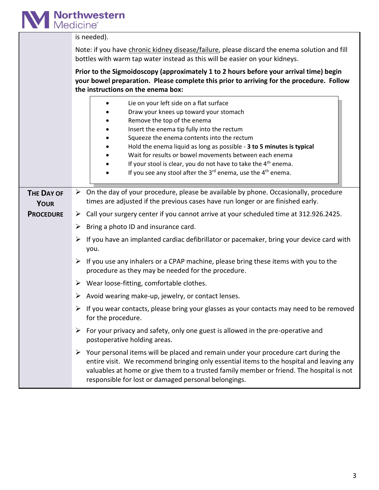

|                                  | is needed).                                                                                                                                                                                                                                                                                                                                                                                                                                                                                             |
|----------------------------------|---------------------------------------------------------------------------------------------------------------------------------------------------------------------------------------------------------------------------------------------------------------------------------------------------------------------------------------------------------------------------------------------------------------------------------------------------------------------------------------------------------|
|                                  | Note: if you have chronic kidney disease/failure, please discard the enema solution and fill<br>bottles with warm tap water instead as this will be easier on your kidneys.                                                                                                                                                                                                                                                                                                                             |
|                                  | Prior to the Sigmoidoscopy (approximately 1 to 2 hours before your arrival time) begin<br>your bowel preparation. Please complete this prior to arriving for the procedure. Follow<br>the instructions on the enema box:                                                                                                                                                                                                                                                                                |
|                                  | Lie on your left side on a flat surface<br>Draw your knees up toward your stomach<br>Remove the top of the enema<br>Insert the enema tip fully into the rectum<br>Squeeze the enema contents into the rectum<br>Hold the enema liquid as long as possible - 3 to 5 minutes is typical<br>Wait for results or bowel movements between each enema<br>If your stool is clear, you do not have to take the 4 <sup>th</sup> enema.<br>If you see any stool after the $3^{rd}$ enema, use the $4^{th}$ enema. |
| <b>THE DAY OF</b><br><b>YOUR</b> | $\triangleright$ On the day of your procedure, please be available by phone. Occasionally, procedure<br>times are adjusted if the previous cases have run longer or are finished early.                                                                                                                                                                                                                                                                                                                 |
| <b>PROCEDURE</b>                 | $\triangleright$ Call your surgery center if you cannot arrive at your scheduled time at 312.926.2425.                                                                                                                                                                                                                                                                                                                                                                                                  |
|                                  | Bring a photo ID and insurance card.<br>➤                                                                                                                                                                                                                                                                                                                                                                                                                                                               |
|                                  | If you have an implanted cardiac defibrillator or pacemaker, bring your device card with<br>you.                                                                                                                                                                                                                                                                                                                                                                                                        |
|                                  | $\triangleright$ If you use any inhalers or a CPAP machine, please bring these items with you to the<br>procedure as they may be needed for the procedure.                                                                                                                                                                                                                                                                                                                                              |
|                                  | $\triangleright$ Wear loose-fitting, comfortable clothes.                                                                                                                                                                                                                                                                                                                                                                                                                                               |
|                                  | Avoid wearing make-up, jewelry, or contact lenses.                                                                                                                                                                                                                                                                                                                                                                                                                                                      |
|                                  | $\triangleright$ If you wear contacts, please bring your glasses as your contacts may need to be removed<br>for the procedure.                                                                                                                                                                                                                                                                                                                                                                          |
|                                  | $\triangleright$ For your privacy and safety, only one guest is allowed in the pre-operative and<br>postoperative holding areas.                                                                                                                                                                                                                                                                                                                                                                        |
|                                  | Your personal items will be placed and remain under your procedure cart during the<br>➤<br>entire visit. We recommend bringing only essential items to the hospital and leaving any<br>valuables at home or give them to a trusted family member or friend. The hospital is not<br>responsible for lost or damaged personal belongings.                                                                                                                                                                 |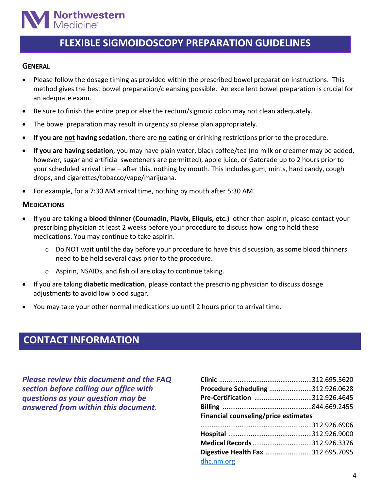# **Northwestern**<br>Medicine®

## **FLEXIBLE SIGMOIDOSCOPY PREPARATION GUIDELINES**

#### **GENERAL**

- Please follow the dosage timing as provided within the prescribed bowel preparation instructions. This method gives the best bowel preparation/cleansing possible. An excellent bowel preparation is crucial for an adequate exam.
- Be sure to finish the entire prep or else the rectum/sigmoid colon may not clean adequately.
- The bowel preparation may result in urgency so please plan appropriately.
- **If you are not having sedation**, there are **no** eating or drinking restrictions prior to the procedure.
- **If you are having sedation**, you may have plain water, black coffee/tea (no milk or creamer may be added, however, sugar and artificial sweeteners are permitted), apple juice, or Gatorade up to 2 hours prior to your scheduled arrival time – after this, nothing by mouth. This includes gum, mints, hard candy, cough drops, and cigarettes/tobacco/vape/marijuana.
- For example, for a 7:30 AM arrival time, nothing by mouth after 5:30 AM.

#### **MEDICATIONS**

- If you are taking a **blood thinner (Coumadin, Plavix, Eliquis, etc.)** other than aspirin, please contact your prescribing physician at least 2 weeks before your procedure to discuss how long to hold these medications. You may continue to take aspirin.
	- $\circ$  Do NOT wait until the day before your procedure to have this discussion, as some blood thinners need to be held several days prior to the procedure.
	- o Aspirin, NSAIDs, and fish oil are okay to continue taking.
- If you are taking **diabetic medication**, please contact the prescribing physician to discuss dosage adjustments to avoid low blood sugar.
- You may take your other normal medications up until 2 hours prior to arrival time.

## **CONTACT INFORMATION**

*Please review this document and the FAQ section before calling our office with questions as your question may be answered from within this document.*

| Procedure Scheduling 312.926.0628    |  |
|--------------------------------------|--|
| Pre-Certification 312.926.4645       |  |
|                                      |  |
| Financial counseling/price estimates |  |
|                                      |  |
|                                      |  |
|                                      |  |
| Medical Records 312.926.3376         |  |
| Digestive Health Fax 312.695.7095    |  |